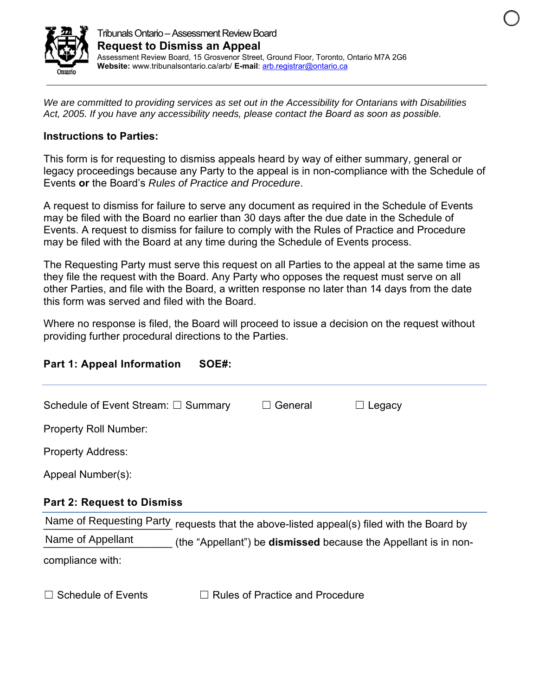

*We are committed to providing services as set out in the Accessibility for Ontarians with Disabilities Act, 2005. If you have any accessibility needs, please contact the Board as soon as possible.*

### **Instructions to Parties:**

This form is for requesting to dismiss appeals heard by way of either summary, general or legacy proceedings because any Party to the appeal is in non-compliance with the Schedule of Events **or** the Board's *Rules of Practice and Procedure*.

A request to dismiss for failure to serve any document as required in the Schedule of Events may be filed with the Board no earlier than 30 days after the due date in the Schedule of Events. A request to dismiss for failure to comply with the Rules of Practice and Procedure may be filed with the Board at any time during the Schedule of Events process.

The Requesting Party must serve this request on all Parties to the appeal at the same time as they file the request with the Board. Any Party who opposes the request must serve on all other Parties, and file with the Board, a written response no later than 14 days from the date this form was served and filed with the Board.

Where no response is filed, the Board will proceed to issue a decision on the request without providing further procedural directions to the Parties.

## **Part 1: Appeal Information SOE#:**

| Schedule of Event Stream: □ Summary | $\Box$ General | $\Box$ Legacy |  |
|-------------------------------------|----------------|---------------|--|
| Property Roll Number:               |                |               |  |
| <b>Property Address:</b>            |                |               |  |
| Appeal Number(s):                   |                |               |  |
|                                     |                |               |  |

#### **Part 2: Request to Dismiss**

| Name of Requesting Party | requests that the above-listed appeal(s) filed with the Board by       |
|--------------------------|------------------------------------------------------------------------|
| Name of Appellant        | (the "Appellant") be <b>dismissed</b> because the Appellant is in non- |
| compliance with:         |                                                                        |

☐ Schedule of Events ☐ Rules of Practice and Procedure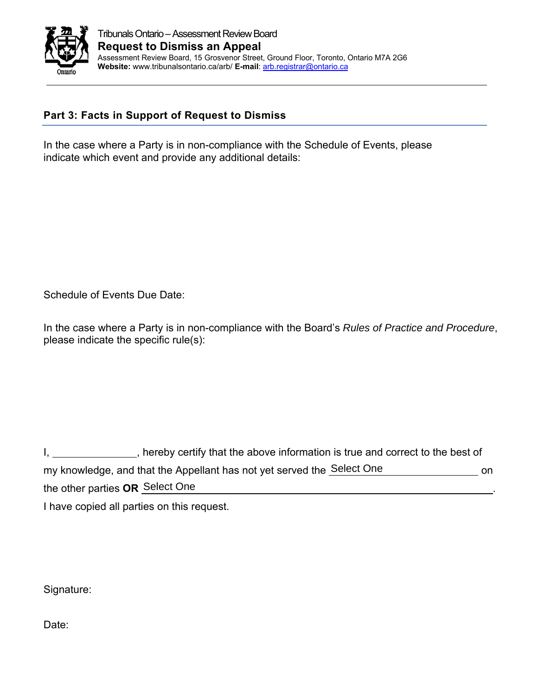

# **Part 3: Facts in Support of Request to Dismiss**

In the case where a Party is in non-compliance with the Schedule of Events, please indicate which event and provide any additional details:

Schedule of Events Due Date:

In the case where a Party is in non-compliance with the Board's *Rules of Practice and Procedure*, please indicate the specific rule(s):

I, hereby certify that the above information is true and correct to the best of my knowledge, and that the Appellant has not yet served the Select One **Example 20** on the other parties OR <u>Select One contracts and the other parties or Select One</u>

I have copied all parties on this request.

Signature:

Date: